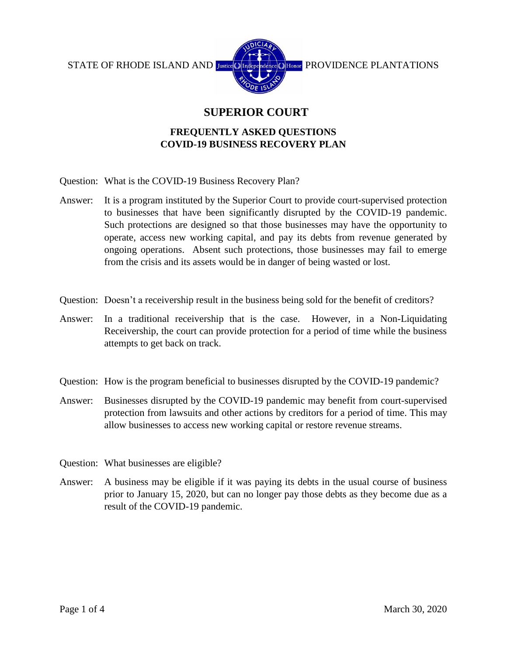

## **SUPERIOR COURT**

## **FREQUENTLY ASKED QUESTIONS COVID-19 BUSINESS RECOVERY PLAN**

- Question: What is the COVID-19 Business Recovery Plan?
- Answer: It is a program instituted by the Superior Court to provide court-supervised protection to businesses that have been significantly disrupted by the COVID-19 pandemic. Such protections are designed so that those businesses may have the opportunity to operate, access new working capital, and pay its debts from revenue generated by ongoing operations. Absent such protections, those businesses may fail to emerge from the crisis and its assets would be in danger of being wasted or lost.
- Question: Doesn't a receivership result in the business being sold for the benefit of creditors?
- Answer: In a traditional receivership that is the case. However, in a Non-Liquidating Receivership, the court can provide protection for a period of time while the business attempts to get back on track.
- Question: How is the program beneficial to businesses disrupted by the COVID-19 pandemic?
- Answer: Businesses disrupted by the COVID-19 pandemic may benefit from court-supervised protection from lawsuits and other actions by creditors for a period of time. This may allow businesses to access new working capital or restore revenue streams.
- Question: What businesses are eligible?
- Answer: A business may be eligible if it was paying its debts in the usual course of business prior to January 15, 2020, but can no longer pay those debts as they become due as a result of the COVID-19 pandemic.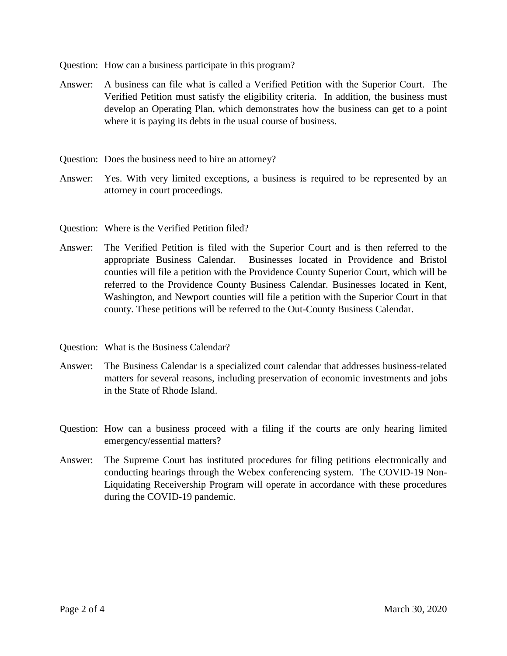Question: How can a business participate in this program?

- Answer: A business can file what is called a Verified Petition with the Superior Court. The Verified Petition must satisfy the eligibility criteria. In addition, the business must develop an Operating Plan, which demonstrates how the business can get to a point where it is paying its debts in the usual course of business.
- Question: Does the business need to hire an attorney?
- Answer: Yes. With very limited exceptions, a business is required to be represented by an attorney in court proceedings.
- Question: Where is the Verified Petition filed?
- Answer: The Verified Petition is filed with the Superior Court and is then referred to the appropriate Business Calendar. Businesses located in Providence and Bristol counties will file a petition with the Providence County Superior Court, which will be referred to the Providence County Business Calendar. Businesses located in Kent, Washington, and Newport counties will file a petition with the Superior Court in that county. These petitions will be referred to the Out-County Business Calendar.
- Question: What is the Business Calendar?
- Answer: The Business Calendar is a specialized court calendar that addresses business-related matters for several reasons, including preservation of economic investments and jobs in the State of Rhode Island.
- Question: How can a business proceed with a filing if the courts are only hearing limited emergency/essential matters?
- Answer: The Supreme Court has instituted procedures for filing petitions electronically and conducting hearings through the Webex conferencing system. The COVID-19 Non-Liquidating Receivership Program will operate in accordance with these procedures during the COVID-19 pandemic.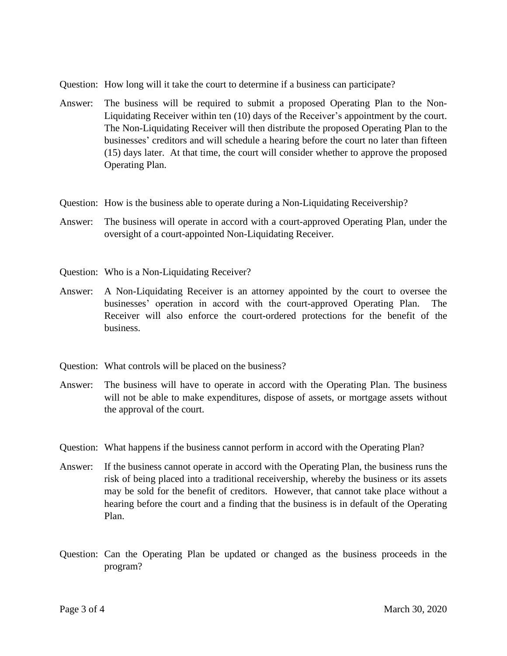- Question: How long will it take the court to determine if a business can participate?
- Answer: The business will be required to submit a proposed Operating Plan to the Non-Liquidating Receiver within ten (10) days of the Receiver's appointment by the court. The Non-Liquidating Receiver will then distribute the proposed Operating Plan to the businesses' creditors and will schedule a hearing before the court no later than fifteen (15) days later. At that time, the court will consider whether to approve the proposed Operating Plan.
- Question: How is the business able to operate during a Non-Liquidating Receivership?
- Answer: The business will operate in accord with a court-approved Operating Plan, under the oversight of a court-appointed Non-Liquidating Receiver.
- Question: Who is a Non-Liquidating Receiver?
- Answer: A Non-Liquidating Receiver is an attorney appointed by the court to oversee the businesses' operation in accord with the court-approved Operating Plan. The Receiver will also enforce the court-ordered protections for the benefit of the business.
- Question: What controls will be placed on the business?
- Answer: The business will have to operate in accord with the Operating Plan. The business will not be able to make expenditures, dispose of assets, or mortgage assets without the approval of the court.
- Question: What happens if the business cannot perform in accord with the Operating Plan?
- Answer: If the business cannot operate in accord with the Operating Plan, the business runs the risk of being placed into a traditional receivership, whereby the business or its assets may be sold for the benefit of creditors. However, that cannot take place without a hearing before the court and a finding that the business is in default of the Operating Plan.
- Question: Can the Operating Plan be updated or changed as the business proceeds in the program?